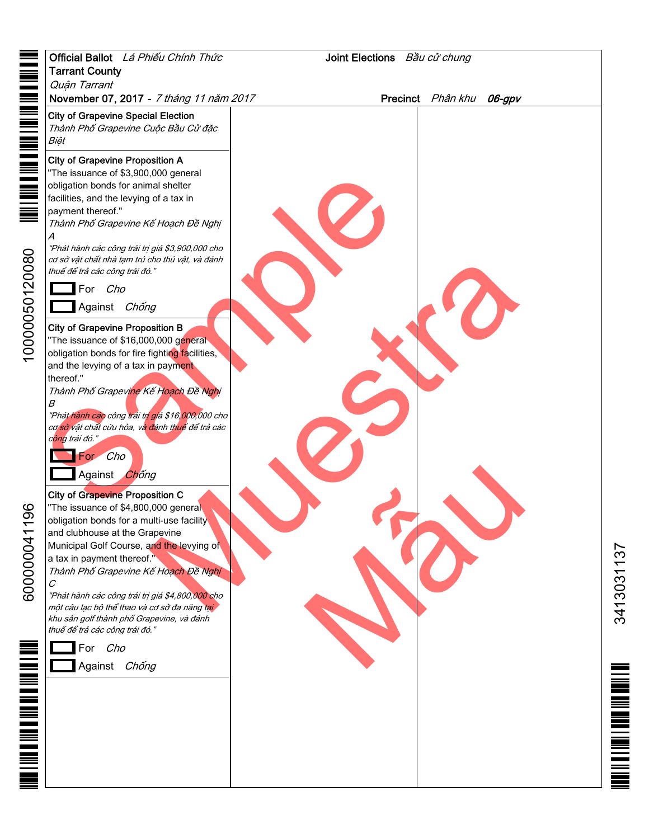|                           | Official Ballot Lá Phiếu Chính Thức<br>Joint Elections Bầu cử chung                                                                                                                                                                                                                                                                       |  |                             |                                |
|---------------------------|-------------------------------------------------------------------------------------------------------------------------------------------------------------------------------------------------------------------------------------------------------------------------------------------------------------------------------------------|--|-----------------------------|--------------------------------|
|                           | <b>Tarrant County</b>                                                                                                                                                                                                                                                                                                                     |  |                             |                                |
|                           | Quân Tarrant<br>November 07, 2017 - 7 tháng 11 năm 2017                                                                                                                                                                                                                                                                                   |  | Precinct Phân khu<br>06-gpv |                                |
|                           | <b>City of Grapevine Special Election</b><br>Thành Phố Grapevine Cuộc Bầu Cử đặc<br>Biệt                                                                                                                                                                                                                                                  |  |                             |                                |
|                           | <b>City of Grapevine Proposition A</b><br>"The issuance of \$3,900,000 general<br>obligation bonds for animal shelter<br>facilities, and the levying of a tax in<br>payment thereof."<br>Thành Phố Grapevine Kế Hoạch Đề Nghị<br>Α                                                                                                        |  |                             |                                |
| 0000050120080             | "Phát hành các công trái trị giá \$3,900,000 cho<br>cơ sở vật chất nhà tạm trú cho thú vật, và đánh<br>thuế để trả các công trái đó."<br>For Cho                                                                                                                                                                                          |  |                             |                                |
|                           | Against Chống<br><b>City of Grapevine Proposition B</b><br>"The issuance of \$16,000,000 general<br>obligation bonds for fire fighting facilities,<br>and the levying of a tax in payment<br>thereof."                                                                                                                                    |  |                             |                                |
|                           | Thành Phố Grapevine Kế Hoạch Đề Nghị<br>В<br>"Phát hành các công trái trị giá \$16,000,000 cho<br>cơ sở vật chất cứu hỏa, và đánh thuế để trả các<br>c <mark>ông</mark> trái đó."<br>For Cho<br>Against Chống                                                                                                                             |  |                             |                                |
| 96<br>600000041           | <b>City of Grapevine Proposition C</b><br>"The issuance of \$4,800,000 general<br>obligation bonds for a multi-use facility<br>and clubhouse at the Grapevine<br>Municipal Golf Course, and the levying of<br>a tax in payment thereof."<br>Thành Phố Grapevine Kế Hoạch Đề Nghị<br>С<br>"Phát hành các công trái trị giá \$4,800,000 cho |  |                             | 25<br>$\overline{\phantom{0}}$ |
|                           | một câu lạc bộ thể thao và cơ sở đa năng tại<br>khu sân golf thành phố Grapevine, và đánh<br>thuế để trả các công trái đó."                                                                                                                                                                                                               |  |                             | 3413031                        |
|                           | For Cho<br>Against Chống                                                                                                                                                                                                                                                                                                                  |  |                             |                                |
| <b>THE LINE LINE OF A</b> |                                                                                                                                                                                                                                                                                                                                           |  |                             |                                |
|                           |                                                                                                                                                                                                                                                                                                                                           |  |                             |                                |
|                           |                                                                                                                                                                                                                                                                                                                                           |  |                             |                                |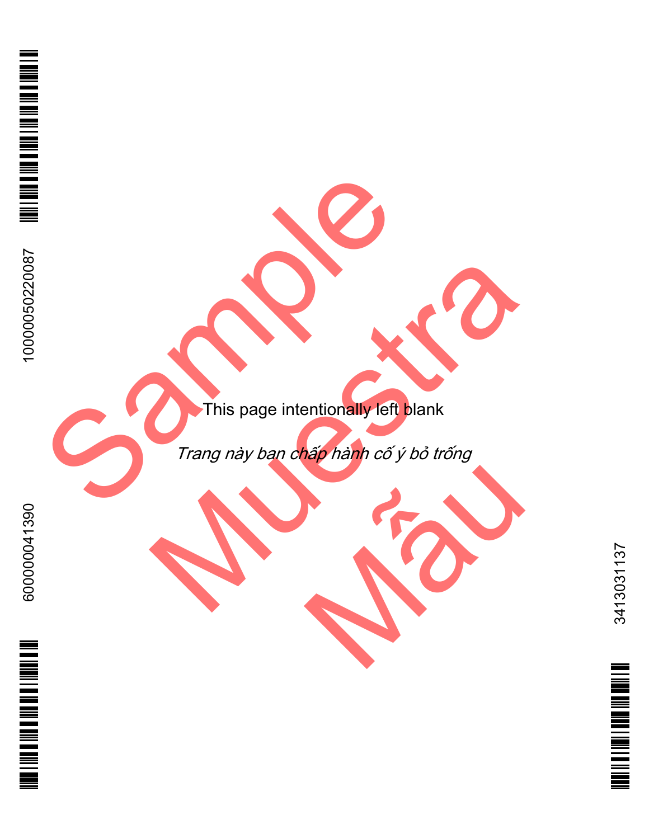This page intentionally left blank

Trang này ban chấp hành cố ý bỏ trống

**MENT WEB THE DIVERSITY OF THE LEW** 

3413031137 <u>Minimum membro</u>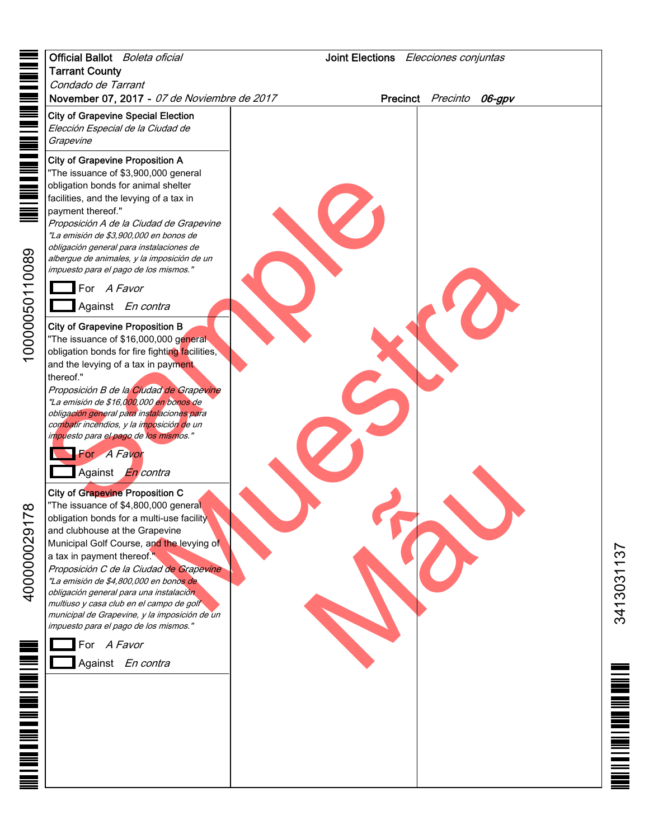|                       | Official Ballot Boleta oficial                                                            | Joint Elections Elecciones conjuntas |                          |
|-----------------------|-------------------------------------------------------------------------------------------|--------------------------------------|--------------------------|
|                       | <b>Tarrant County</b>                                                                     |                                      |                          |
|                       | Condado de Tarrant<br>November 07, 2017 - 07 de Noviembre de 2017                         |                                      | Precinct Precinto 06-gpv |
| <u>The manufactor</u> | <b>City of Grapevine Special Election</b>                                                 |                                      |                          |
|                       | Elección Especial de la Ciudad de                                                         |                                      |                          |
|                       | Grapevine                                                                                 |                                      |                          |
|                       | <b>City of Grapevine Proposition A</b>                                                    |                                      |                          |
| NH NH NH              | "The issuance of \$3,900,000 general<br>obligation bonds for animal shelter               |                                      |                          |
|                       | facilities, and the levying of a tax in                                                   |                                      |                          |
|                       | payment thereof."                                                                         |                                      |                          |
|                       | Proposición A de la Ciudad de Grapevine<br>"La emisión de \$3,900,000 en bonos de         |                                      |                          |
|                       | obligación general para instalaciones de<br>albergue de animales, y la imposición de un   |                                      |                          |
|                       | impuesto para el pago de los mismos."                                                     |                                      |                          |
|                       | For A Favor                                                                               |                                      |                          |
|                       | Against En contra                                                                         |                                      |                          |
|                       | <b>City of Grapevine Proposition B</b>                                                    |                                      |                          |
| 10000050110089        | "The issuance of \$16,000,000 general                                                     |                                      |                          |
|                       | obligation bonds for fire fighting facilities,<br>and the levying of a tax in payment     |                                      |                          |
|                       | thereof."                                                                                 |                                      |                          |
|                       | Proposición B de la Ciudad de Grapevine<br>"La emisión de \$16,000,000 en bonos de        |                                      |                          |
|                       | obligación general para instalaciones para                                                |                                      |                          |
|                       | combatir incendios, y la imposición de un<br>impuesto para el pago de los mismos."        |                                      |                          |
|                       | For A Favor                                                                               |                                      |                          |
|                       | Against <i>En contra</i>                                                                  |                                      |                          |
|                       | <b>City of Grapevine Proposition C</b>                                                    |                                      |                          |
| $\infty$              | "The issuance of \$4,800,000 general                                                      |                                      |                          |
| $\overline{r}$<br>ᅮ   | obligation bonds for a multi-use facility                                                 |                                      |                          |
|                       | and clubhouse at the Grapevine<br>Municipal Golf Course, and the levying of               |                                      |                          |
|                       | a tax in payment thereof."                                                                |                                      |                          |
|                       | Proposición C de la Ciudad de Grapevine<br>"La emisión de \$4,800,000 en bonos de         |                                      |                          |
| 400000029             | obligación general para una instalación                                                   |                                      |                          |
|                       | multiuso y casa club en el campo de golf<br>municipal de Grapevine, y la imposición de un |                                      |                          |
|                       | impuesto para el pago de los mismos."                                                     |                                      |                          |
|                       | For A Favor                                                                               |                                      |                          |
|                       | Against En contra                                                                         |                                      |                          |
|                       |                                                                                           |                                      |                          |
|                       |                                                                                           |                                      |                          |
|                       |                                                                                           |                                      |                          |
|                       |                                                                                           |                                      |                          |
|                       |                                                                                           |                                      |                          |
|                       |                                                                                           |                                      |                          |
|                       |                                                                                           |                                      |                          |

3413031137